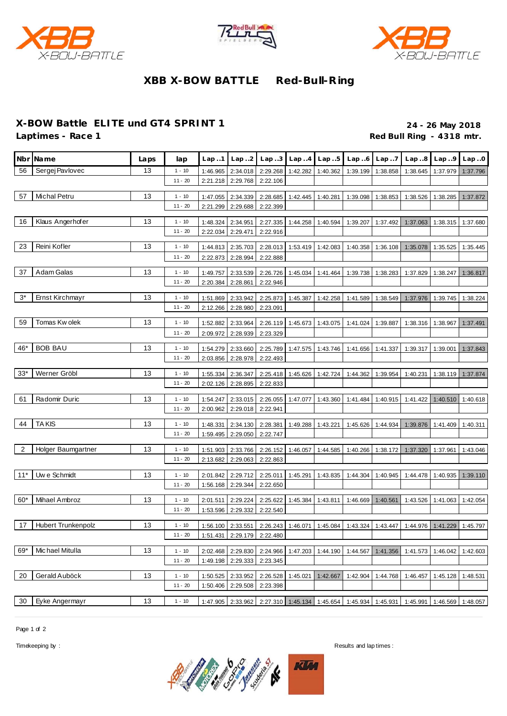





## **XBB X-BOW BATTLE Red-Bull-R ing**

## **X-BOW Battle ELITE und GT4 SPRINT 1 24 - 26 May 2018**

Red Bull Ring - 4318 mtr.

|       | Nbr Name           | Laps | lap                   | Lap.1                | Lap.2                      | Lap. .3              | Lap.4             | Lap.5    | Lap.6    | Lap.7             | Lap.8                                                                                 | Lap.9             | Lap.0    |
|-------|--------------------|------|-----------------------|----------------------|----------------------------|----------------------|-------------------|----------|----------|-------------------|---------------------------------------------------------------------------------------|-------------------|----------|
| 56    | Sergej Pavlovec    | 13   | $1 - 10$              | 1:46.965             | 2:34.018                   | 2:29.268             | 1:42.282          | 1:40.362 | 1:39.199 | 1:38.858          | 1:38.645                                                                              | 1:37.979          | 1:37.796 |
|       |                    |      | $11 - 20$             | 2:21.218             | 2:29.768                   | 2:22.106             |                   |          |          |                   |                                                                                       |                   |          |
| 57    | Michal Petru       | 13   | $1 - 10$              | 1:47.055             | 2:34.339                   | 2:28.685             | 1:42.445          | 1:40.281 | 1:39.098 | 1:38.853          | 1:38.526                                                                              | 1:38.285          | 1:37.872 |
|       |                    |      | $11 - 20$             | 2:21.299             | 2:29.688                   | 2:22.399             |                   |          |          |                   |                                                                                       |                   |          |
| 16    | Klaus Angerhofer   | 13   | $1 - 10$              | 1:48.324             | 2:34.951                   | 2:27.335             | 1:44.258          | 1:40.594 | 1:39.207 | 1:37.492          | 1:37.063                                                                              | 1:38.315          | 1:37.680 |
|       |                    |      | $11 - 20$             | 2:22.034             | 2:29.471                   | 2:22.916             |                   |          |          |                   |                                                                                       |                   |          |
| 23    | Reini Kofler       | 13   | $1 - 10$              |                      |                            |                      | 1:53.419          |          |          |                   |                                                                                       |                   |          |
|       |                    |      | $11 - 20$             | 1:44.813<br>2:22.873 | 2:35.703<br>2:28.994       | 2:28.013<br>2:22.888 |                   | 1:42.083 | 1:40.358 | 1:36.108          | 1:35.078                                                                              | 1:35.525          | 1:35.445 |
|       |                    |      |                       |                      |                            |                      |                   |          |          |                   |                                                                                       |                   |          |
| 37    | Adam Galas         | 13   | $1 - 10$              | 1:49.757             | 2:33.539                   | 2:26.726             | 1:45.034          | 1:41.464 | 1:39.738 | 1:38.283          | 1:37.829                                                                              | 1:38.247          | 1:36.817 |
|       |                    |      | $11 - 20$             | 2:20.384             | 2:28.861                   | 2:22.946             |                   |          |          |                   |                                                                                       |                   |          |
| $3^*$ | Ernst Kirchmayr    | 13   | $1 - 10$              | 1:51.869             | 2:33.942                   | 2:25.873             | 1:45.387          | 1:42.258 | 1:41.589 | 1:38.549          | 1:37.976                                                                              | 1:39.745          | 1:38.224 |
|       |                    |      | $11 - 20$             | 2:12.266             | 2:28.980                   | 2:23.091             |                   |          |          |                   |                                                                                       |                   |          |
| 59    | Tomas Kw olek      | 13   | $1 - 10$              | 1:52.882             | 2:33.964                   | 2:26.119             | 1:45.673          | 1:43.075 | 1:41.024 | 1:39.887          | 1:38.316                                                                              | 1:38.967          | 1:37.491 |
|       |                    |      | $11 - 20$             | 2:09.972             | 2:28.939                   | 2:23.329             |                   |          |          |                   |                                                                                       |                   |          |
| 46*   | <b>BOB BAU</b>     | 13   | $1 - 10$              | 1:54.279             | 2:33.660                   | 2:25.789             | 1:47.575          | 1:43.746 | 1:41.656 | 1:41.337          | 1:39.317                                                                              | 1:39.001          | 1:37.843 |
|       |                    |      | $11 - 20$             | 2:03.856             | 2:28.978                   | 2:22.493             |                   |          |          |                   |                                                                                       |                   |          |
| $33*$ | Werner Gröbl       | 13   | $1 - 10$              |                      |                            | 2:25.418             | 1:45.626          | 1:42.724 |          | 1:39.954          |                                                                                       |                   |          |
|       |                    |      | $11 - 20$             | 1:55.334<br>2:02.126 | 2:36.347<br>2:28.895       | 2:22.833             |                   |          | 1:44.362 |                   | 1:40.231                                                                              | 1:38.119          | 1:37.874 |
|       |                    |      |                       |                      |                            |                      |                   |          |          |                   |                                                                                       |                   |          |
| 61    | Radomir Duric      | 13   | $1 - 10$              | 1:54.247             | 2:33.015                   | 2:26.055             | 1:47.077          | 1:43.360 | 1:41.484 | 1:40.915          | 1:41.422                                                                              | 1:40.510          | 1:40.618 |
|       |                    |      | $11 - 20$             | 2:00.962             | 2:29.018                   | 2:22.941             |                   |          |          |                   |                                                                                       |                   |          |
| 44    | <b>TAKIS</b>       | 13   | $1 - 10$              | 1:48.331             | 2:34.130                   | 2:28.381             | 1:49.288          | 1:43.221 | 1:45.626 | 1:44.934          | 1:39.876                                                                              | 1:41.409          | 1:40.311 |
|       |                    |      | $11 - 20$             | 1:59.495             | 2:29.050                   | 2:22.747             |                   |          |          |                   |                                                                                       |                   |          |
| 2     | Holger Baumgartner | 13   | $1 - 10$              | 1:51.903             | 2:33.766                   | 2:26.152             | 1:46.057          | 1:44.585 | 1:40.266 | 1:38.172          | 1:37.320                                                                              | 1:37.961          | 1:43.046 |
|       |                    |      | $11 - 20$             | 2:13.682             | 2:29.063                   | 2:22.863             |                   |          |          |                   |                                                                                       |                   |          |
| $11*$ | Uw e Schmidt       | 13   | $1 - 10$              | 2:01.842             | 2:29.712                   | 2:25.011             | 1:45.291          | 1:43.835 | 1:44.304 | 1:40.945          | 1:44.478                                                                              | 1:40.935          | 1:39.110 |
|       |                    |      | $11 - 20$             | 1:56.168             | 2:29.344                   | 2:22.650             |                   |          |          |                   |                                                                                       |                   |          |
| $60*$ | Mihael Ambroz      | 13   |                       |                      |                            |                      |                   |          |          |                   |                                                                                       |                   |          |
|       |                    |      | $1 - 10$<br>$11 - 20$ | 2:01.511<br>1:53.596 | 2:29.224<br>2:29.332       | 2:25.622<br>2:22.540 | 1:45.384          | 1:43.811 | 1:46.669 | 1:40.561          | 1:43.526                                                                              | 1:41.063          | 1:42.054 |
|       |                    |      |                       |                      |                            |                      |                   |          |          |                   |                                                                                       |                   |          |
| 17    | Hubert Trunkenpolz | 13   | $1 - 10$              |                      | 1:56.100 2:33.551          |                      |                   |          |          |                   | 2:26.243   1:46.071   1:45.084   1:43.324   1:43.447   1:44.976   1:41.229   1:45.797 |                   |          |
|       |                    |      | $11 - 20$             |                      | 1:51.431 2:29.179 2:22.480 |                      |                   |          |          |                   |                                                                                       |                   |          |
| 69*   | Michael Mitulla    | 13   | $1 - 10$              |                      | 2:02.468 2:29.830          |                      | 2:24.966 1:47.203 | 1:44.190 | 1:44.567 | 1:41.356          |                                                                                       | 1:41.573 1:46.042 | 1:42.603 |
|       |                    |      | $11 - 20$             |                      | 1:49.198 2:29.333          | 2:23.345             |                   |          |          |                   |                                                                                       |                   |          |
| 20    | Gerald Auböck      | 13   | $1 - 10$              | 1:50.525             | 2:33.952                   | 2:26.528             | 1:45.021          | 1:42.667 |          | 1:42.904 1:44.768 | 1:46.457                                                                              | 1:45.128          | 1:48.531 |
|       |                    |      | $11 - 20$             | 1:50.406             | 2:29.508                   | 2:23.398             |                   |          |          |                   |                                                                                       |                   |          |
| 30    | Eyke Angermayr     | 13   | $1 - 10$              |                      | 1:47.905 2:33.962          |                      |                   |          |          |                   | 2:27.310 1:45.134 1:45.654 1:45.934 1:45.931 1:45.991 1:46.569 1:48.057               |                   |          |
|       |                    |      |                       |                      |                            |                      |                   |          |          |                   |                                                                                       |                   |          |

Page 1 of 2



Timekeeping by : Results and lap times :